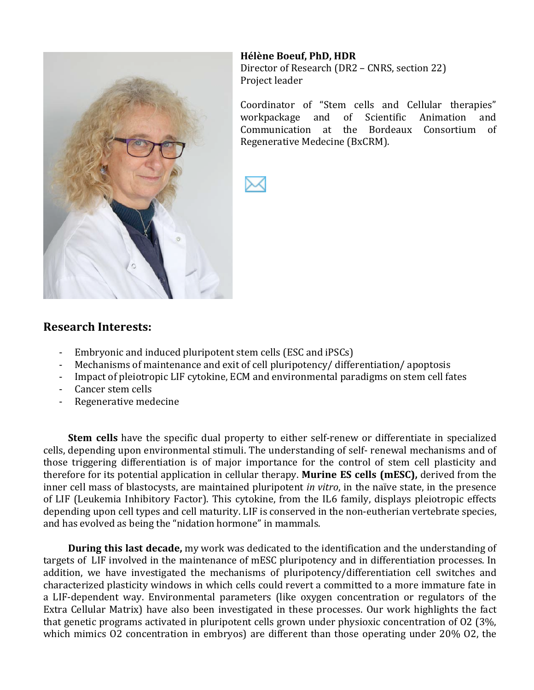

**Hélène Boeuf, PhD, HDR** Director of Research (DR2 – CNRS, section 22) Project leader

Coordinator of "Stem cells and Cellular therapies" workpackage and of Scientific Animation and Communication at the Bordeaux Consortium of Regenerative Medecine (BxCRM).



#### **Research'Interests:**

- Embryonic and induced pluripotent stem cells (ESC and iPSCs)
- I Mechanisms of maintenance and exit of cell pluripotency/differentiation/apoptosis
- Impact of pleiotropic LIF cytokine, ECM and environmental paradigms on stem cell fates
- Cancer stem cells
- Regenerative medecine

**Stem cells** have the specific dual property to either self-renew or differentiate in specialized cells, depending upon environmental stimuli. The understanding of self- renewal mechanisms and of those triggering differentiation is of major importance for the control of stem cell plasticity and therefore for its potential application in cellular therapy. **Murine ES cells (mESC)**, derived from the inner cell mass of blastocysts, are maintained pluripotent *in vitro*, in the naïve state, in the presence of LIF (Leukemia Inhibitory Factor). This cytokine, from the IL6 family, displays pleiotropic effects depending upon cell types and cell maturity. LIF is conserved in the non-eutherian vertebrate species, and has evolved as being the "nidation hormone" in mammals.

**During this last decade,** my work was dedicated to the identification and the understanding of targets of LIF involved in the maintenance of mESC pluripotency and in differentiation processes. In addition, we have investigated the mechanisms of pluripotency/differentiation cell switches and characterized plasticity windows in which cells could revert a committed to a more immature fate in a LIF-dependent way. Environmental parameters (like oxygen concentration or regulators of the Extra Cellular Matrix) have also been investigated in these processes. Our work highlights the fact that genetic programs activated in pluripotent cells grown under physioxic concentration of O2 (3%, which mimics  $02$  concentration in embryos) are different than those operating under  $20\%$   $02$ , the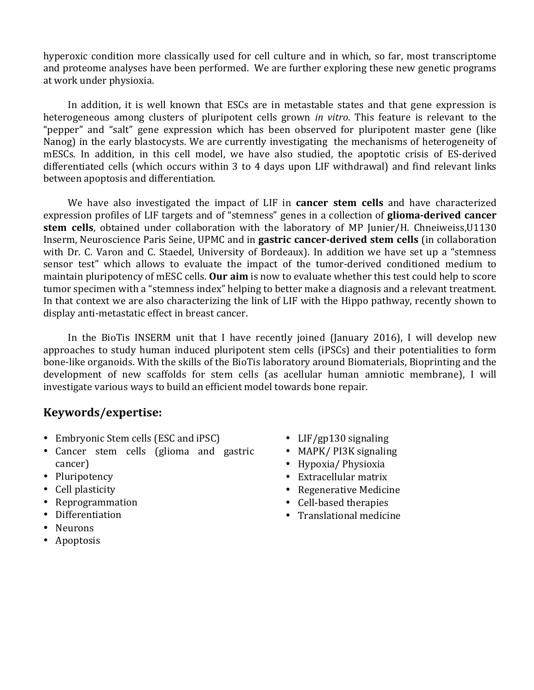hyperoxic condition more classically used for cell culture and in which, so far, most transcriptome and proteome analyses have been performed. We are further exploring these new genetic programs at work under physioxia.

In addition, it is well known that ESCs are in metastable states and that gene expression is heterogeneous among clusters of pluripotent cells grown *in vitro*. This feature is relevant to the "pepper" and "salt" gene expression which has been observed for pluripotent master gene (like Nanog) in the early blastocysts. We are currently investigating the mechanisms of heterogeneity of mESCs. In addition, in this cell model, we have also studied, the apoptotic crisis of ES-derived differentiated cells (which occurs within 3 to 4 days upon LIF withdrawal) and find relevant links between apoptosis and differentiation.

We have also investigated the impact of LIF in **cancer stem cells** and have characterized expression profiles of LIF targets and of "stemness" genes in a collection of **glioma-derived cancer stem cells**, obtained under collaboration with the laboratory of MP Junier/H. Chneiweiss,U1130 Inserm, Neuroscience Paris Seine, UPMC and in **gastric cancer-derived stem cells** (in collaboration with Dr. C. Varon and C. Staedel, University of Bordeaux). In addition we have set up a "stemness sensor test" which allows to evaluate the impact of the tumor-derived conditioned medium to maintain pluripotency of mESC cells. **Our aim** is now to evaluate whether this test could help to score tumor specimen with a "stemness index" helping to better make a diagnosis and a relevant treatment. In that context we are also characterizing the link of LIF with the Hippo pathway, recently shown to display anti-metastatic effect in breast cancer.

In the BioTis INSERM unit that I have recently joined (January 2016), I will develop new approaches to study human induced pluripotent stem cells (iPSCs) and their potentialities to form bone-like organoids. With the skills of the BioTis laboratory around Biomaterials, Bioprinting and the development of new scaffolds for stem cells (as acellular human amniotic membrane), I will investigate various ways to build an efficient model towards bone repair.

#### **Keywords/expertise:**

- Embryonic Stem cells (ESC and iPSC)
- Cancer stem cells (glioma and gastric cancer)
- Pluripotency
- Cell plasticity
- Reprogrammation
- Differentiation
- Neurons
- Apoptosis
- LIF/gp130 signaling
- MAPK/PI3K signaling
- Hypoxia/Physioxia
- $\bullet$  Extracellular matrix
- Regenerative Medicine
- Cell-based therapies
- $\bullet$  Translational medicine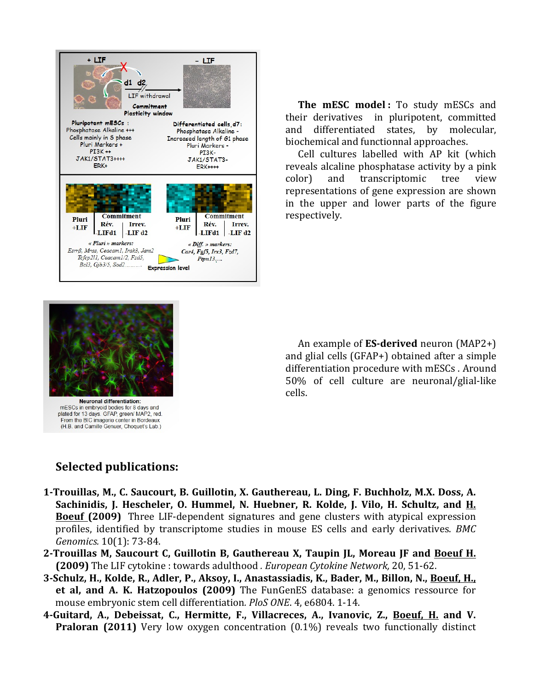

**The mESC model:** To study mESCs and their derivatives in pluripotent, committed and differentiated states, by molecular, biochemical and functionnal approaches.

Cell cultures labelled with AP kit (which reveals alcaline phosphatase activity by a pink color) and transcriptomic tree view representations of gene expression are shown in the upper and lower parts of the figure respectively.



mESCs in embryoid bodies for 8 days and plated for 13 days. GFAP, green/ MAP2, red. From the BIC imagerie center in Bordeaux (H.B. and Camille Genuer, Choquet's Lab.)

An example of **ES-derived** neuron (MAP2+) and glial cells ( $GFAP+$ ) obtained after a simple differentiation procedure with mESCs. Around  $50\%$  of cell culture are neuronal/glial-like cells.

### **Selected'publications:**

- 1-Trouillas, M., C. Saucourt, B. Guillotin, X. Gauthereau, L. Ding, F. Buchholz, M.X. Doss, A. Sachinidis, J. Hescheler, O. Hummel, N. Huebner, R. Kolde, J. Vilo, H. Schultz, and H. **Boeuf (2009)** Three LIF-dependent signatures and gene clusters with atypical expression profiles, identified by transcriptome studies in mouse ES cells and early derivatives. *BMC Genomics.* 10(1): 73-84.
- 2-Trouillas M, Saucourt C, Guillotin B, Gauthereau X, Taupin JL, Moreau JF and Boeuf H. **(2009)** The LIF cytokine: towards adulthood *. European Cytokine Network*, 20, 51-62.
- 3-Schulz, H., Kolde, R., Adler, P., Aksoy, I., Anastassiadis, K., Bader, M., Billon, N., <u>Boeuf, H.,</u> **et al, and A. K. Hatzopoulos (2009)** The FunGenES database: a genomics ressource for mouse embryonic stem cell differentiation. PloS ONE. 4, e6804. 1-14.
- **4BGuitard,' A.,' Debeissat,' C.,' Hermitte,' F.,' Villacreces,' A.,' Ivanovic,' Z.,' Boeuf,' H. and' V.' Praloran (2011)** Very low oxygen concentration (0.1%) reveals two functionally distinct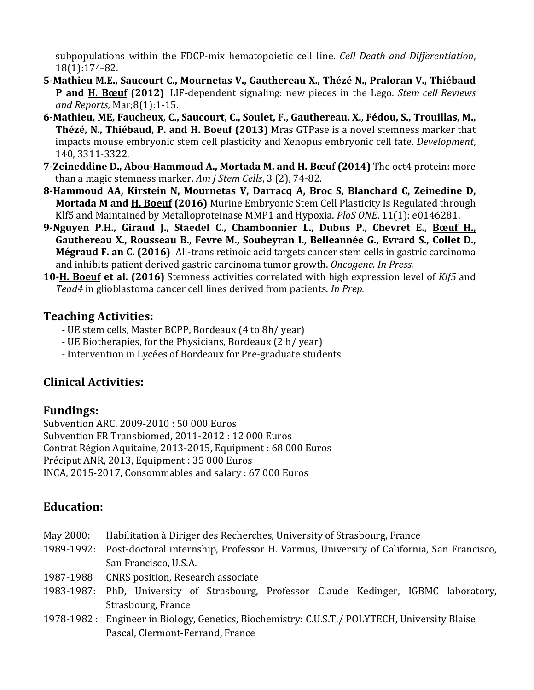subpopulations within the FDCP-mix hematopoietic cell line. *Cell Death and Differentiation*, 18(1):174-82.

- 5-Mathieu M.E., Saucourt C., Mournetas V., Gauthereau X., Thézé N., Praloran V., Thiébaud **P** and **H. Bœuf** (2012) LIF-dependent signaling: new pieces in the Lego. *Stem cell Reviews and Reports, Mar;8(1):1-15.*
- 6-Mathieu, ME, Faucheux, C., Saucourt, C., Soulet, F., Gauthereau, X., Fédou, S., Trouillas, M., Thézé, N., Thiébaud, P. and H. Boeuf (2013) Mras GTPase is a novel stemness marker that impacts mouse embryonic stem cell plasticity and Xenopus embryonic cell fate. *Development*, 140, 3311-3322.
- **7-Zeineddine D., Abou-Hammoud A., Mortada M. and H. Bœuf (2014) The oct4 protein: more** than a magic stemness marker. Am J Stem Cells, 3 (2), 74-82.
- 8-Hammoud AA, Kirstein N, Mournetas V, Darracq A, Broc S, Blanchard C, Zeinedine D, **Mortada M and H. Boeuf (2016)** Murine Embryonic Stem Cell Plasticity Is Regulated through Klf5 and Maintained by Metalloproteinase MMP1 and Hypoxia. *PloS ONE*. 11(1): e0146281.
- 9-Nguyen P.H., Giraud J., Staedel C., Chambonnier L., Dubus P., Chevret E., Bœuf H., Gauthereau X., Rousseau B., Fevre M., Soubeyran I., Belleannée G., Evrard S., Collet D., **Mégraud F. an C. (2016)** All-trans retinoic acid targets cancer stem cells in gastric carcinoma and inhibits patient derived gastric carcinoma tumor growth. Oncogene. In Press.
- **10-H. Boeuf et al. (2016)** Stemness activities correlated with high expression level of Klf5 and *Tead4* in glioblastoma cancer cell lines derived from patients. *In Prep.*

#### **Teaching'Activities:**

- UE stem cells, Master BCPP, Bordeaux (4 to 8h/ year)
- UE Biotherapies, for the Physicians, Bordeaux (2 h/year)
- Intervention in Lycées of Bordeaux for Pre-graduate students

# **Clinical'Activities:**

### **Fundings:**

Subvention ARC, 2009-2010 : 50 000 Euros Subvention FR Transbiomed, 2011-2012 : 12 000 Euros Contrat Région Aquitaine, 2013-2015, Equipment : 68 000 Euros Préciput ANR, 2013, Equipment : 35 000 Euros INCA, 2015-2017, Consommables and salary :  $67000$  Euros

# **Education:**

| May 2000: | Habilitation à Diriger des Recherches, University of Strasbourg, France                            |
|-----------|----------------------------------------------------------------------------------------------------|
|           | 1989-1992: Post-doctoral internship, Professor H. Varmus, University of California, San Francisco, |
|           | San Francisco, U.S.A.                                                                              |
| 1987-1988 | <b>CNRS</b> position, Research associate                                                           |
|           | 1983-1987: PhD, University of Strasbourg, Professor Claude Kedinger, IGBMC laboratory,             |
|           | Strasbourg, France                                                                                 |
|           | 1978-1982 : Engineer in Biology, Genetics, Biochemistry: C.U.S.T. / POLYTECH, University Blaise    |
|           | Pascal, Clermont-Ferrand, France                                                                   |